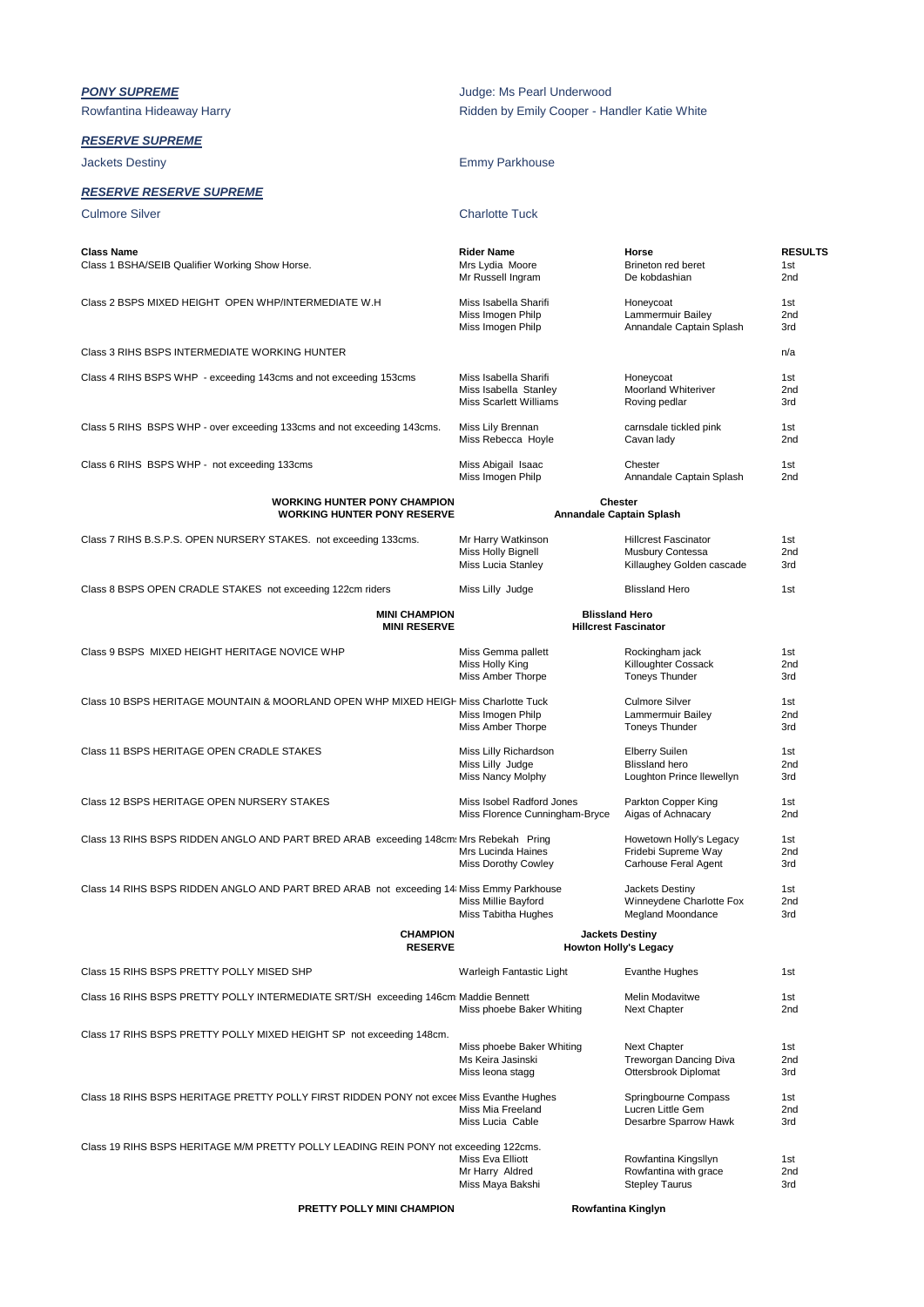| <b>PONY SUPREME</b><br>Rowfantina Hideaway Harry                                         | Judge: Ms Pearl Underwood<br>Ridden by Emily Cooper - Handler Katie White |                                                                              |                               |  |
|------------------------------------------------------------------------------------------|---------------------------------------------------------------------------|------------------------------------------------------------------------------|-------------------------------|--|
| <b>RESERVE SUPREME</b>                                                                   |                                                                           |                                                                              |                               |  |
| Jackets Destiny                                                                          | <b>Emmy Parkhouse</b>                                                     |                                                                              |                               |  |
| <u>RESERVE RESERVE SUPREME</u>                                                           |                                                                           |                                                                              |                               |  |
| <b>Culmore Silver</b>                                                                    | <b>Charlotte Tuck</b>                                                     |                                                                              |                               |  |
| <b>Class Name</b><br>Class 1 BSHA/SEIB Qualifier Working Show Horse.                     | <b>Rider Name</b><br>Mrs Lydia Moore<br>Mr Russell Ingram                 | Horse<br>Brineton red beret<br>De kobdashian                                 | <b>RESULTS</b><br>1st<br>2nd  |  |
| Class 2 BSPS MIXED HEIGHT OPEN WHP/INTERMEDIATE W.H.                                     | Miss Isabella Sharifi<br>Miss Imogen Philp<br>Miss Imogen Philp           | Honeycoat<br>Lammermuir Bailey<br>Annandale Captain Splash                   |                               |  |
| Class 3 RIHS BSPS INTERMEDIATE WORKING HUNTER                                            |                                                                           |                                                                              | n/a                           |  |
| Class 4 RIHS BSPS WHP - exceeding 143cms and not exceeding 153cms                        | Miss Isabella Sharifi<br>Miss Isabella Stanley<br>Miss Scarlett Williams  | Honeycoat<br>Moorland Whiteriver<br>Roving pedlar                            | 1st<br>2 <sub>nd</sub><br>3rd |  |
| Class 5 RIHS BSPS WHP - over exceeding 133cms and not exceeding 143cms.                  | Miss Lily Brennan<br>Miss Rebecca Hoyle                                   | carnsdale tickled pink<br>Cavan lady                                         | 1st<br>2nd                    |  |
| Class 6 RIHS BSPS WHP - not exceeding 133cms                                             | Miss Abigail Isaac<br>Miss Imogen Philp                                   | Chester<br>Annandale Captain Splash                                          | 1st<br>2nd                    |  |
| <b>WORKING HUNTER PONY CHAMPION</b><br><b>WORKING HUNTER PONY RESERVE</b>                | Chester<br>Annandale Captain Splash                                       |                                                                              |                               |  |
| Class 7 RIHS B.S.P.S. OPEN NURSERY STAKES. not exceeding 133cms.                         | Mr Harry Watkinson<br>Miss Holly Bignell<br>Miss Lucia Stanley            | <b>Hillcrest Fascinator</b><br>Musbury Contessa<br>Killaughey Golden cascade | 1st<br>2nd<br>3rd             |  |
| Class 8 BSPS OPEN CRADLE STAKES not exceeding 122cm riders                               | Miss Lilly Judge                                                          | <b>Blissland Hero</b>                                                        | 1st                           |  |
| <b>MINI CHAMPION</b><br><b>MINI RESERVE</b>                                              | <b>Blissland Hero</b>                                                     | <b>Hillcrest Fascinator</b>                                                  |                               |  |
| Class 9 BSPS MIXED HEIGHT HERITAGE NOVICE WHP                                            | Miss Gemma pallett<br>Miss Holly King<br>Miss Amber Thorpe                | Rockingham jack<br>Killoughter Cossack<br><b>Toneys Thunder</b>              | 1st<br>2nd<br>3rd             |  |
| Class 10 BSPS HERITAGE MOUNTAIN & MOORLAND OPEN WHP MIXED HEIGH Miss Charlotte Tuck      | Miss Imogen Philp<br>Miss Amber Thorpe                                    | <b>Culmore Silver</b><br>Lammermuir Bailey<br><b>Toneys Thunder</b>          | 1st<br>2nd<br>3rd             |  |
| Class 11 BSPS HERITAGE OPEN CRADLE STAKES                                                | Miss Lilly Richardson<br>Miss Lilly Judge<br>Miss Nancy Molphy            | <b>Elberry Suilen</b><br><b>Blissland hero</b><br>Loughton Prince llewellyn  | 1st<br>2nd<br>3rd             |  |
| Class 12 BSPS HERITAGE OPEN NURSERY STAKES                                               | Miss Isobel Radford Jones<br>Miss Florence Cunningham-Bryce               | Parkton Copper King<br>Aigas of Achnacary                                    | 1st<br>2nd                    |  |
| Class 13 RIHS BSPS RIDDEN ANGLO AND PART BRED ARAB exceeding 148cm: Mrs Rebekah Pring    | Mrs Lucinda Haines<br><b>Miss Dorothy Cowley</b>                          | Howetown Holly's Legacy<br>Fridebi Supreme Way<br>Carhouse Feral Agent       | 1st<br>2nd<br>3rd             |  |
| Class 14 RIHS BSPS RIDDEN ANGLO AND PART BRED ARAB not exceeding 14 Miss Emmy Parkhouse  | Miss Millie Bayford<br>Miss Tabitha Hughes                                | Jackets Destiny<br>Winneydene Charlotte Fox<br>Megland Moondance             | 1st<br>2nd<br>3rd             |  |
| <b>CHAMPION</b><br><b>RESERVE</b>                                                        |                                                                           | <b>Jackets Destiny</b><br><b>Howton Holly's Legacy</b>                       |                               |  |
| Class 15 RIHS BSPS PRETTY POLLY MISED SHP                                                | Warleigh Fantastic Light                                                  | <b>Evanthe Hughes</b>                                                        | 1st                           |  |
| Class 16 RIHS BSPS PRETTY POLLY INTERMEDIATE SRT/SH exceeding 146cm: Maddie Bennett      | Miss phoebe Baker Whiting                                                 | Melin Modavitwe<br>Next Chapter                                              | 1st<br>2nd                    |  |
| Class 17 RIHS BSPS PRETTY POLLY MIXED HEIGHT SP not exceeding 148cm.                     |                                                                           |                                                                              |                               |  |
|                                                                                          | Miss phoebe Baker Whiting<br>Ms Keira Jasinski<br>Miss leona stagg        | Next Chapter<br>Treworgan Dancing Diva<br>Ottersbrook Diplomat               | 1st<br>2nd<br>3rd             |  |
| Class 18 RIHS BSPS HERITAGE PRETTY POLLY FIRST RIDDEN PONY not excee Miss Evanthe Hughes | Miss Mia Freeland<br>Miss Lucia Cable                                     | Springbourne Compass<br>Lucren Little Gem<br>Desarbre Sparrow Hawk           | 1st<br>2nd<br>3rd             |  |
| Class 19 RIHS BSPS HERITAGE M/M PRETTY POLLY LEADING REIN PONY not exceeding 122cms.     | Miss Eva Elliott<br>Mr Harry Aldred<br>Miss Maya Bakshi                   | Rowfantina Kingsllyn<br>Rowfantina with grace<br><b>Stepley Taurus</b>       | 1st<br>2nd<br>3rd             |  |
| PRETTY POLLY MINI CHAMPION                                                               | Rowfantina Kinglyn                                                        |                                                                              |                               |  |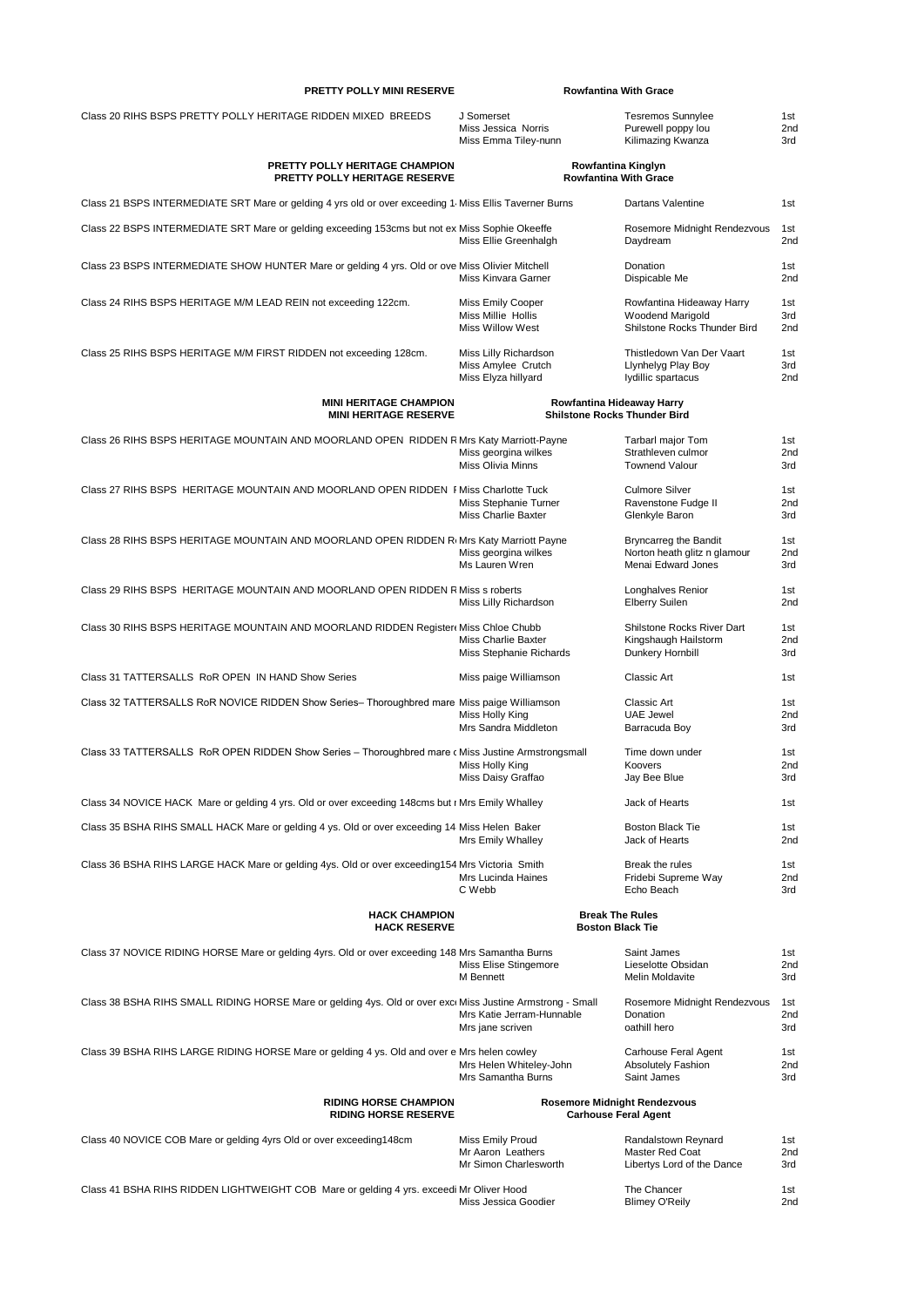| PRETTY POLLY MINI RESERVE                                                                                 |                                                                                             | <b>Rowfantina With Grace</b>                                                       |                               |
|-----------------------------------------------------------------------------------------------------------|---------------------------------------------------------------------------------------------|------------------------------------------------------------------------------------|-------------------------------|
| Class 20 RIHS BSPS PRETTY POLLY HERITAGE RIDDEN MIXED BREEDS                                              | J Somerset<br>Miss Jessica Norris<br>Miss Emma Tiley-nunn                                   | <b>Tesremos Sunnylee</b><br>Purewell poppy lou<br>Kilimazing Kwanza                | 1st<br>2nd<br>3rd             |
| PRETTY POLLY HERITAGE CHAMPION<br>PRETTY POLLY HERITAGE RESERVE                                           |                                                                                             | Rowfantina Kinglyn<br><b>Rowfantina With Grace</b>                                 |                               |
| Class 21 BSPS INTERMEDIATE SRT Mare or gelding 4 yrs old or over exceeding 1 Miss Ellis Taverner Burns    |                                                                                             | Dartans Valentine                                                                  | 1st                           |
| Class 22 BSPS INTERMEDIATE SRT Mare or gelding exceeding 153cms but not ex Miss Sophie Okeeffe            | Miss Ellie Greenhalgh                                                                       | Rosemore Midnight Rendezvous<br>Daydream                                           | 1st<br>2nd                    |
| Class 23 BSPS INTERMEDIATE SHOW HUNTER Mare or gelding 4 yrs. Old or ove Miss Olivier Mitchell            | Miss Kinvara Garner                                                                         | Donation<br>Dispicable Me                                                          | 1st<br>2nd                    |
| Class 24 RIHS BSPS HERITAGE M/M LEAD REIN not exceeding 122cm.                                            | Miss Emily Cooper<br>Miss Millie Hollis<br><b>Miss Willow West</b>                          | Rowfantina Hideaway Harry<br>Woodend Marigold<br>Shilstone Rocks Thunder Bird      | 1st<br>3rd<br>2 <sub>nd</sub> |
| Class 25 RIHS BSPS HERITAGE M/M FIRST RIDDEN not exceeding 128cm.                                         | Miss Lilly Richardson<br>Miss Amylee Crutch<br>Miss Elyza hillyard                          | Thistledown Van Der Vaart<br>Llynhelyg Play Boy<br>lydillic spartacus              | 1st<br>3rd<br>2 <sub>nd</sub> |
| <b>MINI HERITAGE CHAMPION</b>                                                                             |                                                                                             | Rowfantina Hideaway Harry                                                          |                               |
| <b>MINI HERITAGE RESERVE</b>                                                                              |                                                                                             | <b>Shilstone Rocks Thunder Bird</b>                                                |                               |
| Class 26 RIHS BSPS HERITAGE MOUNTAIN AND MOORLAND OPEN RIDDEN RMrs Katy Marriott-Payne                    | Miss georgina wilkes<br>Miss Olivia Minns                                                   | <b>Tarbarl major Tom</b><br>Strathleven culmor<br><b>Townend Valour</b>            | 1st<br>2 <sub>nd</sub><br>3rd |
| Class 27 RIHS BSPS HERITAGE MOUNTAIN AND MOORLAND OPEN RIDDEN FMiss Charlotte Tuck                        | Miss Stephanie Turner<br><b>Miss Charlie Baxter</b>                                         | <b>Culmore Silver</b><br>Ravenstone Fudge II<br>Glenkyle Baron                     | 1st<br>2 <sub>nd</sub><br>3rd |
| Class 28 RIHS BSPS HERITAGE MOUNTAIN AND MOORLAND OPEN RIDDEN RIMITS Katy Marriott Payne                  | Miss georgina wilkes<br>Ms Lauren Wren                                                      | <b>Bryncarreg the Bandit</b><br>Norton heath glitz n glamour<br>Menai Edward Jones | 1st<br>2nd<br>3rd             |
| Class 29 RIHS BSPS HERITAGE MOUNTAIN AND MOORLAND OPEN RIDDEN RMiss s roberts                             | Miss Lilly Richardson                                                                       | Longhalves Renior<br><b>Elberry Suilen</b>                                         | 1st<br>2 <sub>nd</sub>        |
| Class 30 RIHS BSPS HERITAGE MOUNTAIN AND MOORLAND RIDDEN Register Miss Chloe Chubb                        | Miss Charlie Baxter<br>Miss Stephanie Richards                                              | Shilstone Rocks River Dart<br>Kingshaugh Hailstorm<br>Dunkery Hornbill             | 1st<br>2nd<br>3rd             |
| Class 31 TATTERSALLS RoR OPEN IN HAND Show Series                                                         | Miss paige Williamson                                                                       | <b>Classic Art</b>                                                                 | 1st                           |
| Class 32 TATTERSALLS RoR NOVICE RIDDEN Show Series- Thoroughbred mare Miss paige Williamson               | Classic Art<br>Miss Holly King<br><b>UAE Jewel</b><br>Mrs Sandra Middleton<br>Barracuda Boy |                                                                                    | 1st<br>2 <sub>nd</sub><br>3rd |
| Class 33 TATTERSALLS RoR OPEN RIDDEN Show Series - Thoroughbred mare c Miss Justine Armstrongsmall        | Miss Holly King<br>Miss Daisy Graffao                                                       | Time down under<br>Koovers<br>Jay Bee Blue                                         | 1st<br>2 <sub>nd</sub><br>3rd |
| Class 34 NOVICE HACK Mare or gelding 4 yrs. Old or over exceeding 148cms but r Mrs Emily Whalley          |                                                                                             | Jack of Hearts                                                                     | 1st                           |
| Class 35 BSHA RIHS SMALL HACK Mare or gelding 4 ys. Old or over exceeding 14 Miss Helen Baker             | <b>Mrs Emily Whalley</b>                                                                    | <b>Boston Black Tie</b><br>Jack of Hearts                                          | 1st<br>2nd                    |
| Class 36 BSHA RIHS LARGE HACK Mare or gelding 4ys. Old or over exceeding154 Mrs Victoria Smith            | Mrs Lucinda Haines<br>C Webb                                                                | Break the rules<br>Fridebi Supreme Way<br>Echo Beach                               | 1st<br>2nd<br>3rd             |
| <b>HACK CHAMPION</b><br><b>HACK RESERVE</b>                                                               |                                                                                             | <b>Break The Rules</b><br><b>Boston Black Tie</b>                                  |                               |
| Class 37 NOVICE RIDING HORSE Mare or gelding 4yrs. Old or over exceeding 148 Mrs Samantha Burns           | Miss Elise Stingemore<br>M Bennett                                                          | Saint James<br>Lieselotte Obsidan<br>Melin Moldavite                               | 1st<br>2nd<br>3rd             |
| Class 38 BSHA RIHS SMALL RIDING HORSE Mare or gelding 4ys. Old or over exc Miss Justine Armstrong - Small | Mrs Katie Jerram-Hunnable<br>Mrs jane scriven                                               | Rosemore Midnight Rendezvous<br>Donation<br>oathill hero                           | 1st<br>2nd<br>3rd             |
| Class 39 BSHA RIHS LARGE RIDING HORSE Mare or gelding 4 ys. Old and over e Mrs helen cowley               | Mrs Helen Whiteley-John<br>Mrs Samantha Burns                                               | Carhouse Feral Agent<br>Absolutely Fashion<br>Saint James                          | 1st<br>2nd<br>3rd             |
| <b>RIDING HORSE CHAMPION</b><br><b>RIDING HORSE RESERVE</b>                                               |                                                                                             | <b>Rosemore Midnight Rendezvous</b><br><b>Carhouse Feral Agent</b>                 |                               |
| Class 40 NOVICE COB Mare or gelding 4yrs Old or over exceeding148cm                                       | Miss Emily Proud<br>Mr Aaron Leathers<br>Mr Simon Charlesworth                              | Randalstown Reynard<br>Master Red Coat<br>Libertys Lord of the Dance               | 1st<br>2nd<br>3rd             |
| Class 41 BSHA RIHS RIDDEN LIGHTWEIGHT COB Mare or gelding 4 yrs. exceedi Mr Oliver Hood                   | Miss Jessica Goodier                                                                        | The Chancer<br><b>Blimey O'Reily</b>                                               | 1st<br>2nd                    |